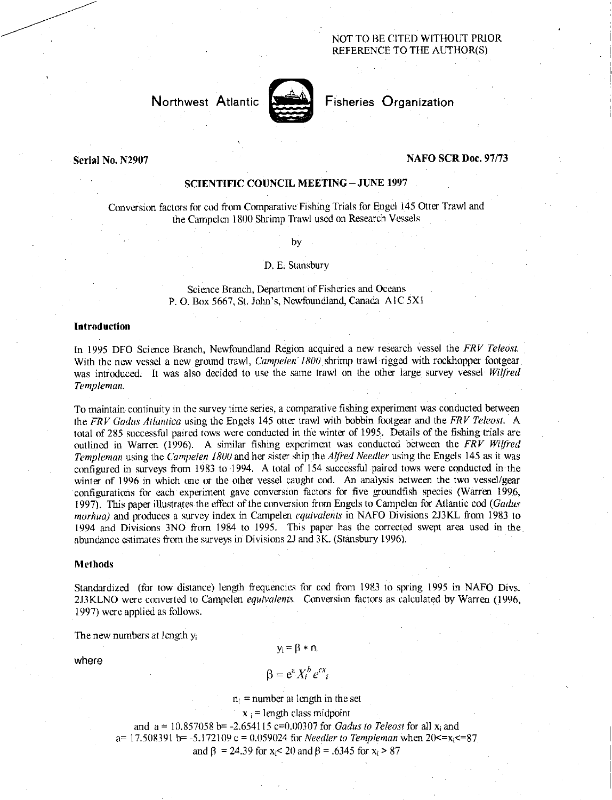## NOT TO BE CITED WITHOUT PRIOR REFERENCE TO THE AUTHOR(S)



Northwest Atlantic **Notified** Fisheries Organization

## Serial No. N2907 NAFO SCR Doc. 97/73

## SCIENTIFIC COUNCIL MEETING—JUNE 1997

Conversion factors for cod from Comparative Fishing Trials for Engel 145 Otter Trawl and the Campelen 1800 Shrimp Trawl used on Research Vessels

by

#### D. E. Stansbury

Science Branch, Department of Fisheries and Oceans P. O. Box 5667, St. John's, Newfoundland, Canada A IC 5X1

### Introduction

In 1995 DFO Science Branch, Newfoundland Region acquired a new research vessel the *FRV Teleost.*  With the new vessel a new ground trawl, *Campelen 1800* shrimp trawl rigged with rockhopper footgear was introduced. It was also decided to use the same trawl on the other large survey vessel *Wilfred Templeman.* 

To maintain continuity in the survey time series, a comparative fishing experiment was conducted between the *FRV Gadus Atlantica* using the Engels 145 otter trawl with bobbin footgear and the *FRV Teleost.* A total of 285 successful paired tows were conducted in the winter of 1995. Details of the fishing trials are outlined in Warren (1996). A similar fishing experiment was conducted between the *FRV Wilfred Templeman* using the *Campelen 1800* and her sister ship the *Alfred Needles* using the Engels 145 as it was configured in surveys from 1983 to 1994. A total of 154 successful paired tows were conducted in the winter of 1996 in which one or the other vessel caught cod. An analysis between the two vessel/gear configurations for each experiment gave conversion factors for five groundfish species (Warren 1996, 1997). This paper illustrates the effect of the conversion from Engels to Campelen for Atlantic cod *(Gadus marhua)* and produces a survey index in Campelen *equivalents* in NAFO Divisions 2J3KL from 1983 to 1994 and Divisions 3NO from 1984 to 1995. This paper has the corrected swept area used in the abundance estimates from the surveys in Divisions 2J and 3K. (Stansbury 1996).

### Methods

Standardized (for tow distance) length frequencies for cod from 1983 to spring 1995 in NAFO Divs. 2J3KLNO were converted to Campelen *equivalents.* Conversion factors as calculated by Warren (1996, 1997) were applied as follows.

The new numbers at length y<sup>i</sup>

 $y_i = \beta * n_i$ 

where

# $\beta = e^a X_i^b e^{cx}$

 $n_i$  = number at length in the set

 $x_i$  = length class midpoint

and a = 10.857058 b= -2.654115 c=0.00307 for *Gadus to Teleost* for all xi and a=  $17.508391$  b=  $-5.172109$  c = 0.059024 for *Needler to Templeman* when  $20 \le x_i \le 87$ and  $\beta$  = 24.39 for x<sub>i</sub> < 20 and  $\beta$  = .6345 for x<sub>i</sub> > 87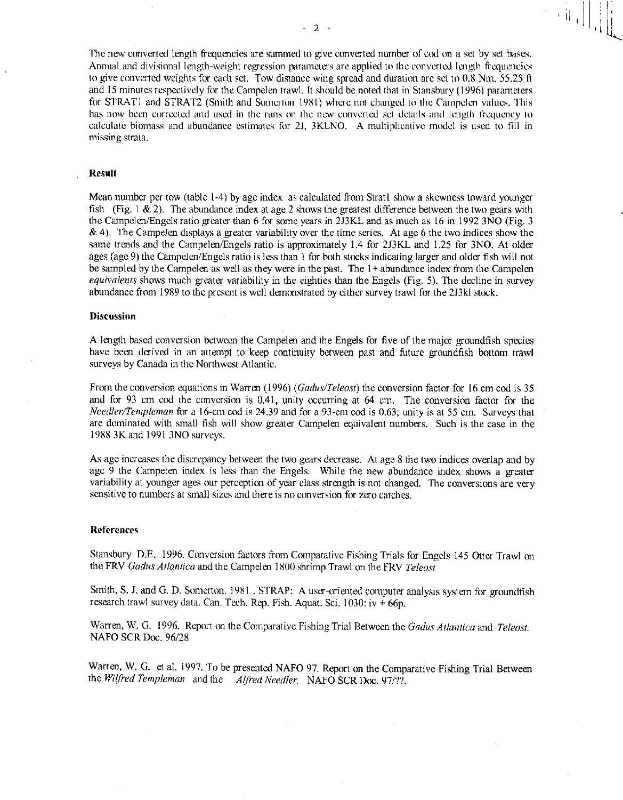IL

 $\begin{bmatrix} 1 & 1 \\ 1 & 1 \\ 1 & 1 \end{bmatrix}$ 

The new converted length frequencies are summed to give converted number of cod on a set by set bases. Annual and divisional length-weight regression parameters are applied to the converted length frequencies to give converted weights for each set. Tow distance wing spread and duration arc set to 0.8 Nm, 55.25  $\hat{\theta}$ and 15 minutes respectively for the Campelen trawl. It should be noted that in Stansbury (1996) parameters for STRAT1 and STRAT2 (Smith and Somerton 1981) where not changed to the Campelen values. This has now been corrected and used in the runs on the new converted set details and length frequency to calculate biomass and abundance estimates for 2J, 3KLNO. A multiplicative model is used to fill in missing strata.

#### Result

Mean number per tow (table 1-4) by age index as calculated from Strati show a skewness toward younger fish (Fig. 1 & 2). The abundance index at age 2 shows the greatest difference between the two gears with the Campelen/Engels ratio greater than 6 for some years in 2J3KL and as much as 16 in 1992 3NO (Fig. 3 & 4). The Campelen displays a greater variability over the time series. At age 6 the two indices show the same trends and the Campelen/Engels ratio is approximately 1.4 for 2J3KL and 1.25 for 3NO. At older ages (age 9) the Campelen/Engels ratio is less than 1 for both stocks indicating larger and older fish will not be sampled by the Campelen as well as they were in the past. The 1+ abundance index from the Campelen *equivalents* shows much greater variability in the eighties than the Engels (Fig. 5). The decline in survey abundance from 1989 to the present is well demonstrated by either survey trawl for the 2J3kl stock.

#### **Discussion**

A length based conversion between the Campelen and the Engels for five of the major groundfish species have been derived in an attempt to keep continuity between past and future groundfish bottom trawl surveys by Canada in the Northwest Atlantic.

From the conversion equations in Warren (1996) *(Gadus/Teleost)* the conversion factor for 16 cm cod is 35 and for 93 em cod the conversion is 0.41, unity occurring at 64 cm. The conversion factor for the *Needler/Templeman* for a 16-cm cod is 24.39 and for a 93-cm cod is 0.63; unity is at 55 cm. Surveys that are dominated with small fish will show greater Campelen equivalent numbers. Such is the case in the 1988 3K and 1991 3NO surveys.

As age increases the discrepancy between the two gears decrease. At age 8 the two indices overlap and by age 9 the Campelen index is less than the Engels. While the new abundance index shows a greater variability at younger ages our perception of year class strength is not changed. The conversions are very sensitive to numbers at small sizes and there is no conversion for zero catches.

#### References

Stansbury D.E. 1996. Conversion factors from Comparative Fishing Trials for Engels 145 Otter Trawl on the FRV *Gadus Atlantica* and the Campelen 1800 shrimp Trawl on the FRV *Teleost* 

Smith, S. J. and G. D. Somerton. 1981 . STRAP: A user-oriented computer analysis system for groundfish research trawl survey data. Can. Tech. Rep. Fish. Aquat. Sci. 1030: iv  $\frac{1}{2}$  66p.

Warren, W. G. 1996. Report on the Comparative Fishing Trial Between the *Gadus Atlantica* and *Teleost.*  NAFO SCR Doc. 96/28

Warren, W. G. et al. 1997. To be presented NAFO 97. Report on the Comparative Fishing Trial Between the *Wilfred Templeman* and the *Alfred Needler.* NAFO SCR Doc. 97/??.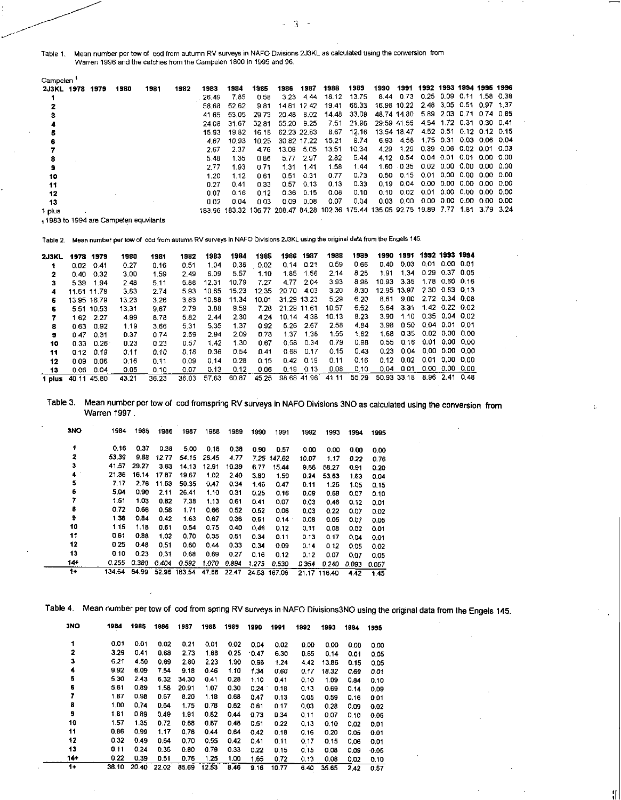Table 1. Mean number per tow of cod from autumn RV surveys in NAFO Divisions 2J3KL as calculated using the conversion from Warren 1996 and the catches from the Campelen 1800 in 1995 and 96.

| Campelen   |      |      |                                      |      |       |       |       |       |             |       |                                                                         |      |             |                          |                     |                     |                |      |
|------------|------|------|--------------------------------------|------|-------|-------|-------|-------|-------------|-------|-------------------------------------------------------------------------|------|-------------|--------------------------|---------------------|---------------------|----------------|------|
| 2J3KL 1978 | 1979 | 1980 | 1981                                 | 1982 | 1983  | 1984  | 1985  | 1986  | 1987        | 1988  | 1989                                                                    | 1990 | 1991        | 1992 1993 1994 1995 1996 |                     |                     |                |      |
|            |      |      |                                      |      | 26.49 | 7.85  | 0.58  | 3.23  | 4.44        | 18 12 | 13.75                                                                   | 8.44 | 0.73        | 0.25                     | 0.09                | 0.11                | 1.58           | 0.38 |
|            |      |      |                                      |      | 58.68 | 52.62 | 981   | 14.81 | 12.42       | 19.41 | 66.33                                                                   |      | 16.98 10.22 | 2.48                     | 3.05 0.51           |                     | 0.97 1.37      |      |
|            |      |      |                                      |      | 41.65 | 53.05 | 29.73 | 20.48 | 8.02        | 14.48 | 33.08                                                                   |      | 48.74 14.80 | 5.89                     |                     | 2.03 0.71 0.74 0.85 |                |      |
|            |      |      |                                      |      | 24.08 | 31.67 | 32.81 | 55.20 | 9.25        | 7.51  | 21.96                                                                   |      | 29:59 41.55 | 4.54                     | 1.72                | 0.31                | 0.30 0.41      |      |
|            |      |      |                                      |      | 15.93 | 19.82 | 16.18 |       | 62 23 22 83 | 8.67  | 12.16                                                                   |      | 13.54 18.47 | 4.52                     | 0.51                | 0.12                | 0.12 0.15      |      |
|            |      |      |                                      |      | 4.67  | 10.93 | 10.25 |       | 30.82 17.22 | 15.21 | 9.74                                                                    | 6.93 | 4.58        |                          | 1.75 0.31           |                     | 0.03 0.06 0.04 |      |
|            |      |      |                                      |      | 2.67  | 2.37  | 476   | 13.08 | 5.05        | 13.51 | 10.34                                                                   | 4.29 | 1.29        | 0.39                     | 0.06 0.02 0.01 0.03 |                     |                |      |
|            |      |      |                                      |      | 5.48  | 1.35  | 0.86  | 5.77  | 2.97        | 2.82  | 5.44                                                                    | 4.12 | 0.54        | 0.04                     | 0.01                | 0.01                | 0.00 0.00      |      |
| 9          |      |      |                                      |      | 2.77  | 1.93  | 0.71  | 1.31  | 1.41        | 1.58  | 1.44                                                                    | 1.60 | $-0.35$     | 0.02                     | 0.00                | -0.00               | 0.00 0.00      |      |
| 10         |      |      |                                      |      | 1.20  | 1.12  | 0.61  | 0.51  | 0.31        | 0.77  | 0.73                                                                    | 0.50 | 0.15        | 0.01                     |                     | 0.00 0.00           | 0.00 0.00      |      |
| 11         |      |      |                                      |      | 0.27  | 0.41  | 0.33  | 0.57  | 0.13        | 0.13  | 0.33                                                                    | 0.19 | 0.04        | 0.00                     | 0.00                | -0.00 0.00 0.00     |                |      |
| 12         |      |      |                                      |      | 0.07  | 0.16  | 0.12  | 0.36  | 0.15        | 0.08  | 0.10                                                                    | 0.10 | 0.02        | 0.01                     |                     | 0.00 0.00 0.00 0.00 |                |      |
| 13         |      |      |                                      |      | 0.02  | 0.04  | 0.03  | 0.09  | 0.08        | 0.07  | 0.04                                                                    | 0.03 | 0.00        | 0.00                     | 0.DO                | 0.00                | 0.00 0.00      |      |
| 1 plus     |      |      |                                      |      |       |       |       |       |             |       | 183.96 183.32 106.77 208.47 84.28 102.36 175.44 135.05 92.75 19.89 7.77 |      |             |                          |                     | 1.81                | 379324         |      |
|            |      |      | 1983 to 1994 are Campelen equvilants |      |       |       |       |       |             |       |                                                                         |      |             |                          |                     |                     |                |      |

Table 2. Mean number per tow of cod from autumn RV surveys in NAFO Divisions 2J3KL using the original data from the Engels 145.

| 2J3KL  |             | 1978 1979   | 1980  | 1981  | 1982  | 1983  | 1984  | 1985       | 1986        | 1987        | 1988  | 1989  | 1990  | 1991        |      | 1992 1993 1994 |  |
|--------|-------------|-------------|-------|-------|-------|-------|-------|------------|-------------|-------------|-------|-------|-------|-------------|------|----------------|--|
|        | 0.02        | 0.41        | 0.27  | 0.16  | 0.51  | 1.04  | 0.36  | 0.02       | 0.14        | 0.21        | 0.59  | 0.66  | 0.40  | 0.03        | 0.01 | 0.00 0.01      |  |
| 2      | 0.40        | 0.32        | 3.00  | 1.59  | 2.49  | 6.09  | 5.57  | 1.10       | 1.85        | 1.56        | 2.14  | 8.25  | 1.91  | 1.34        | 0.29 | 0.37 0.05      |  |
| з      | 5.39        | 1.94        | 2.48  | 5.11  | 5.88  | 12.31 | 10.79 | 7.27       | 4.77        | 2.04        | 3.93  | 8.98  | 10.93 | 335         |      | 1.78 0.60 0.16 |  |
| 4      | 11.51 11.78 |             | 3.83  | 2.74  | 5.93  | 10.65 | 15.23 | 12.35      | 20.70       | 4.03        | 3.20  | 8.30  |       | 1295 1397   |      | 2.30 0.83 0.13 |  |
| 6.     |             | 13.95 16.79 | 13.23 | 3.26  | 3.83  | 10.88 | 11.34 | 10.01      |             | 31.29 13.23 | 5.29  | 6.20  | 8.61  | 9.00        |      | 2.72 0.34 0.08 |  |
| 6      |             | 5.51 10.53  | 13.31 | 9.67  | 2.79  | 3.88  | 9.59  | 7.28       | 21 29 11 61 |             | 10.57 | 6.52  | 5.64  | 331         |      | 1.42 0.22 0.02 |  |
|        | 1.62        | 2.27        | 4.99  | 8.78  | 5.82  | 2.44  | 2.30  | 4.24       | 10.14       | 4.38        | 10 13 | 8.23  | 3.90  | 1 10        |      | 0.35 0.04 0.02 |  |
| 8      | 0.63        | 0.92        | 1.19  | 3.66  | 5.31  | 5.35  | 1.37  | 0.92       | 5.26        | 2.67        | 2.58  | 484   | 3 98  | 0.50        |      | 0.04 0.01 0.01 |  |
| 9      | 0.47        | 0.31        | 0.37  | 0.74  | 2.59  | 294   | 2.09  | <b>078</b> | 1.37        | 1.38        | 1.55  | 1.62  | 1.68  | O 35.       |      | 0.02 0.00 0.00 |  |
| 10     | 0.33        | 0.26        | 0.23  | 0.23  | 0.57  | 1.42  | 1.30  | 0.67       | 0.58        | 0.34        | 0.79  | 0.98  | 0.55  | 0.16        | 0.01 | 0.00 0.00      |  |
| 11     | 0.12        | 0.19        | 0.11  | 0.10  | 0.16  | 0.36  | 0.54  | 0.41       | 0.68        | 0.17        | 0.15  | 0.43  | 0.23  | 0.04        | 0.00 | 0.00 0.00      |  |
| 12     | 0.09        | 0.06        | 0.16  | 0.11  | 0.09  | 0.14  | 0.28  | 0.15       | 0.42        | 0.19        | 0.11  | 0.16  | 0.12  | 0.02        | 0.01 | 0.00 0.00      |  |
| 13     | 0.06        | 0.04        | 0.05  | 0.10  | 0.07  | 0.13  | 0.12  | 0.06       | 0.19        | 0.13        | 0.08  | 0.10  | 0.04  | 0.01        | 0.00 | 0.00 0.00      |  |
| 1 plus | 40.11       | 45.80       | 43.21 | 36.23 | 36.03 | 57.63 | 60.87 | 45.25      | 98.68       | 41.96       | 41.11 | 55.29 |       | 50.93 33.18 |      | 8.96 2.41 0.48 |  |

Table 3. Mean number per tow of cod fromspring RV surveys in NAFO Divisions 3NO as calculated using the conversion from Warren 1997 .

| 3NO   | 1984   | 1985  | 1986  | 1987   | 1988  | 1989  | 1990  | 1991        | 1992  | 1993         | 1994  | 1995  |
|-------|--------|-------|-------|--------|-------|-------|-------|-------------|-------|--------------|-------|-------|
| 4     | 0.16   | 0.37  | 0.38  | 5.00   | 0.18  | 0.38  | 0.90  | 0.57        | 0.00  | 0.00         | 0.00  | 0.00  |
| 2     | 53.39  | 9.88  | 12.77 | 54.15  | 26.45 | 4.77  |       | 7.25 147.62 | 10.07 | 1.17         | 0.22  | 0.76  |
| 3     | 41.57  | 29.27 | 3.63  | 14.13  | 12.91 | 10.39 | 6.77  | 15.44       | 9.66  | 58.27        | 0.91  | 0.20  |
| 4     | 21.35  | 16.14 | 17.87 | 19.67  | 1.02  | 2.40  | 3.80  | 1.59        | 0.24  | 53.63        | 1.63  | 0.04  |
| 5     | 7.17   | 2.76  | 11.53 | 50.35  | 0.47  | 0.34  | 1.46  | 0.47        | 0.11  | 1.25         | 1.05  | 0,15  |
| 6     | 5.04   | 0.90  | 2.11  | 26.41  | 1.10  | 0.31  | 0.25  | 0.16        | 0.09  | 0.68         | 0.07  | 0.10  |
| 7     | 1.51   | 1.03  | 0.82  | 7.38   | 1.13  | 0.61  | 0.41  | 0.07        | 0.03  | 0.46         | 0.12  | 0.01  |
| 8     | 0.72   | 0.66  | 0.58  | 1,71   | 0.66  | 0.52  | 0.52  | 0.06        | 0.03  | 0.22         | 0.07  | 0.02  |
| 9     | 1.36   | 0.84  | 0.42  | 1.63   | 0.67  | 0.36  | 0.61  | 0.14        | 0.08  | 0.05         | 0.07  | 0.05  |
| 10    | 1 15   | 1.18  | 0.61  | 0.54   | 0.75  | 0.40  | 0.46  | 0.12        | 0.11  | 0.08         | 0.02  | 0.01  |
| 11    | 0.61   | 0.88  | 1.02  | 0.70   | 0.35  | 0.51  | 0.34  | 0.11        | 0.13  | 0.17         | 0.04  | 0.01  |
| 12    | 0.25   | 0.48  | 0.51  | 0.60   | 0.44  | 033   | 0.34  | 0.09        | 0.14  | 0.12         | 0.05  | 0.02  |
| 13    | 0.10   | 0.23  | 0.31  | 0.68   | 0.69  | 0.27  | 0.16  | 0.12        | 0.12  | 0.07         | 0.07  | 0.05  |
| $14+$ | 0.255  | 0,380 | 0.404 | 0.592  | 1 070 | 0.894 | 1.275 | 0.530       | 0.354 | 0.240        | 0.093 | 0.057 |
| 1+    | 134.64 | 64.99 | 52.96 | 183.54 | 47.88 | 22.47 | 24.53 | 167.06      |       | 21.17 116.40 | 4.42  | 1.45  |

|  | Table 4. Mean number per tow of cod from spring RV surveys in NAFO Divisions 3NO using the original data from the Engels 145. |  |  |  |  |
|--|-------------------------------------------------------------------------------------------------------------------------------|--|--|--|--|
|--|-------------------------------------------------------------------------------------------------------------------------------|--|--|--|--|

 $\bar{z}$ 

rl

| 3NO   | 1984  | 1985  | 1986  | 1987  | 1988  | 1989 | 1990 | 1991  | 1992 | 1993  | 1994 | 1995 |
|-------|-------|-------|-------|-------|-------|------|------|-------|------|-------|------|------|
| 1     | 0.01  | 0.01  | 0.02  | 0.21  | 0.01  | 0.02 | 0.04 | 0.02  | 0.00 | 0.00  | 0.00 | 0.00 |
| 2     | 3.29  | 0.41  | 0.68  | 2.73  | 1.68  | 0.25 | 0.47 | 6.30  | 0.65 | 0.14  | 0.01 | 0.05 |
| 3     | 6.21  | 4.50  | 0.69  | 2.80  | 2.23  | 1.90 | 0.96 | 1 24  | 4.42 | 13,86 | 0.15 | 0.05 |
| 4     | 9.92  | 6.09  | 7.54  | 9.18  | 0.46  | 1.10 | 1.34 | 0.60  | 0.17 | 18.32 | 0.69 | 0.01 |
| 5     | 5.30  | 2.43  | 6.32  | 34.30 | 0.41  | 0.28 | 1.10 | 041   | 0.10 | 1.09  | 0.84 | 0.10 |
| 6     | 5.61  | 0.89  | 1.58  | 20.91 | 1.07  | 0.30 | 0.24 | 0.18  | 0.13 | 0.69  | 0.14 | 0.09 |
| 7     | 1.87  | 0.98  | 0.67  | 8.20  | 1.18  | 0.68 | 0.47 | 0.13  | 0.05 | 0.59  | 0.16 | 0.01 |
| 8     | 1.00  | 0.74  | 0.64  | 1.75  | 0.78  | 0.62 | 0.61 | 0.17  | 0.03 | 0.28  | 0.09 | 0.02 |
| 9     | 1.81  | 0.89  | 0.49  | 1.91  | 0.82  | 0.44 | 0.73 | 0.34  | 0.11 | 0.07  | 0.10 | 0.06 |
| 10    | 1.57  | 1.35  | 0.72  | 0.68  | 0.87  | 0.48 | 0.51 | 0.22  | 0.13 | 0.10  | 0.02 | 0.01 |
| 11    | 0.86  | 0.99  | 1.17  | 0.76  | 0.44  | 0.64 | 0.42 | 0.18  | 0.16 | 0.20  | 0.05 | 0.01 |
| 12    | 0.32  | 0.49  | 0.64  | 0.70  | 0.55  | 0.42 | 0.41 | 0.11  | 0.17 | 0.15  | 0.06 | 0.01 |
| 13    | 0.11  | 0.24  | 0.35  | 0.80  | 0.79  | 0.33 | 0.22 | 0.15  | 0.15 | 0.08  | 0.09 | 0.05 |
| $14*$ | 0.22  | 0.39  | 0.51  | 0.76  | 1.25  | 1.00 | 1.65 | 0.72  | 0.13 | 0.08  | 0.02 | 0.10 |
| $1 +$ | 38.10 | 20.40 | 22.02 | 85.69 | 12.53 | 8.46 | 9.16 | 10.77 | 6.40 | 35.65 | 2.42 | 0.57 |

- 3 -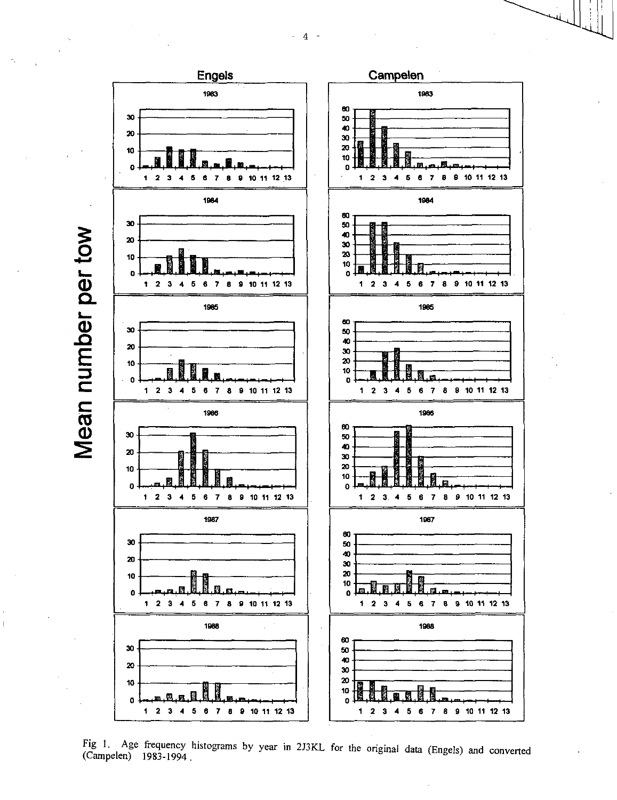$\overline{4}$ 



Fig 1. Age frequency histograms by year in 2J3KL for the original data (Engels) and converted (Campelen) 1983-1994.

Mean number per tow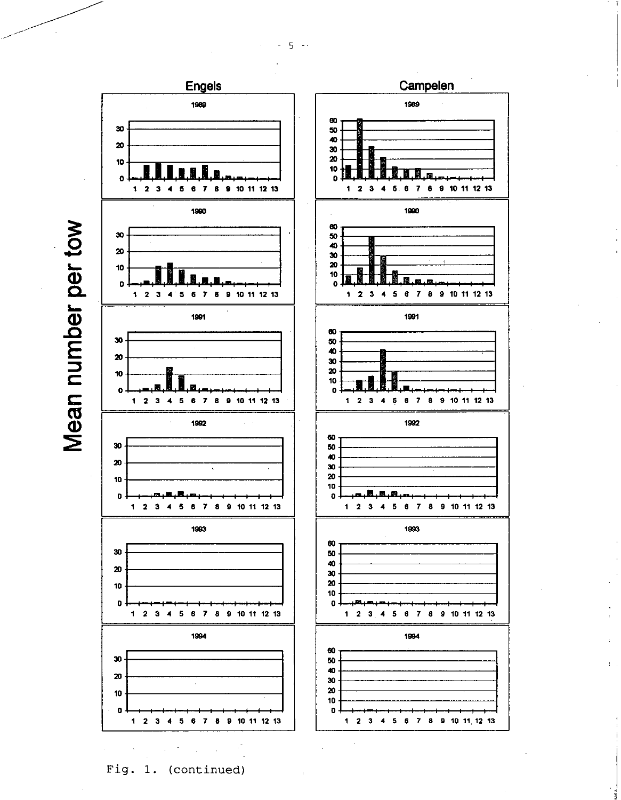$5 - 4$ 





Campelen

Fig. 1. (continued)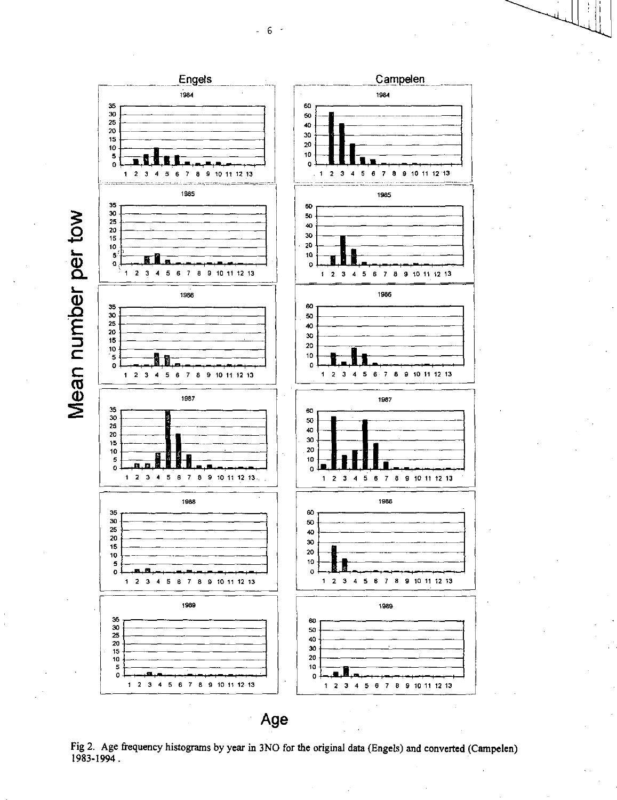

Age

Fig 2. Age frequency histograms by year in 3NO for the original data (Engels) and converted (Campelen) 1983-1994.

 $-6 -$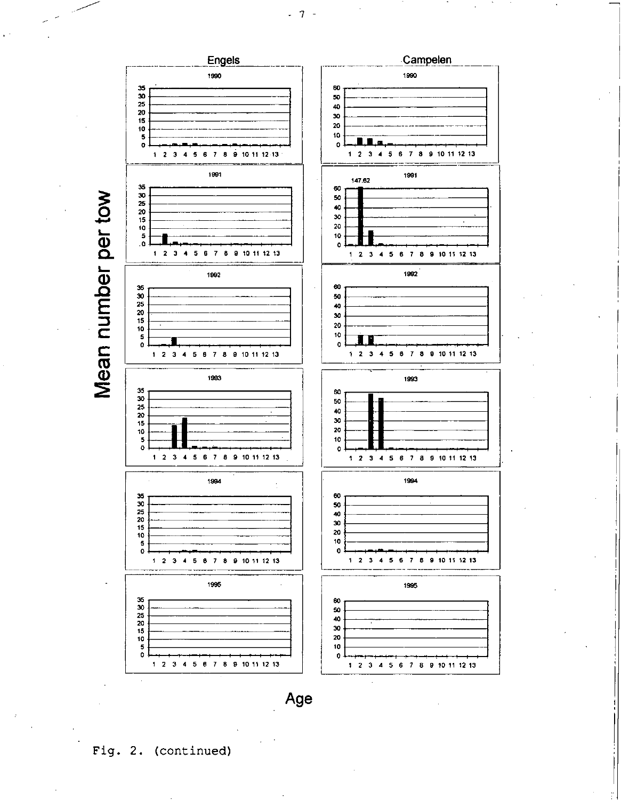

Fig. 2. (continued)

 $-7 -$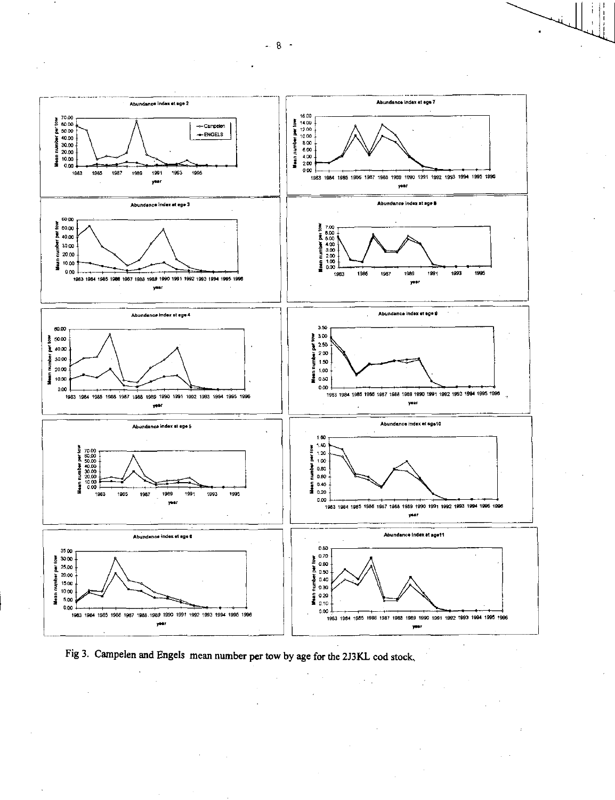

Fig 3. Campelen and Engels mean number per tow by age for the 2J3KL cod stock.

 $-8 -$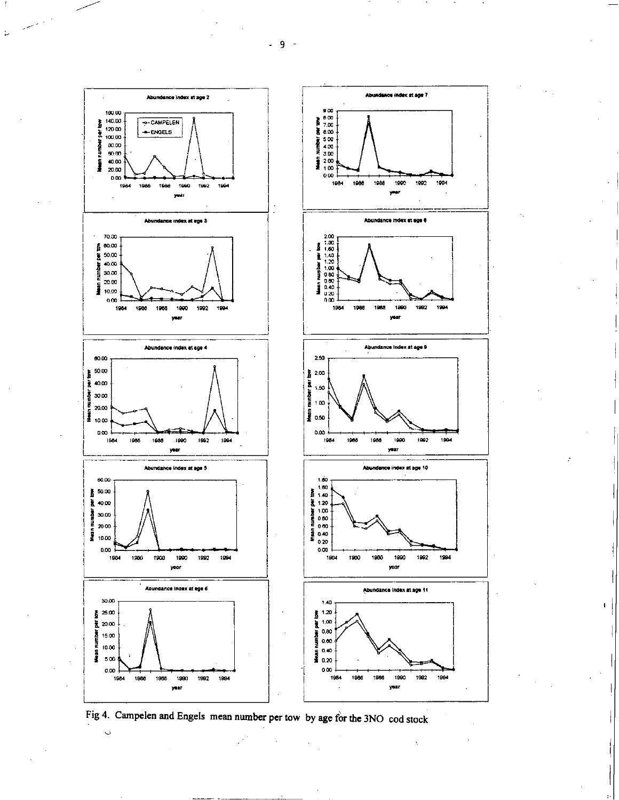



1990

year

1992

1994

Fig 4. Campelen and Engels mean number per tow by age for the 3NO cod stock

year

 $\ddot{\mathcal{L}}$ 

 $-9 -$